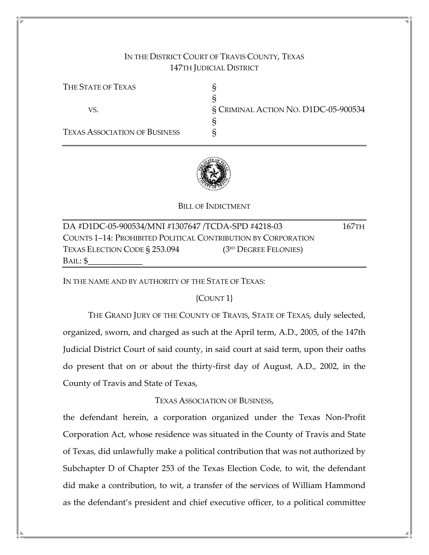# IN THE DISTRICT COURT OF TRAVIS COUNTY, TEXAS 147TH JUDICIAL DISTRICT

THE STATE OF TEXAS S § VS. § CRIMINAL ACTION NO. D1DC-05-900534 § TEXAS ASSOCIATION OF BUSINESS §



## BILL OF INDICTMENT

DA #D1DC-05-900534/MNI #1307647 /TCDA-SPD #4218-03 167TH COUNTS 1–14: PROHIBITED POLITICAL CONTRIBUTION BY CORPORATION TEXAS ELECTION CODE  $\S 253.094$  (3<sup>rd</sup> Degree Felonies)  $BAIL: $$ 

IN THE NAME AND BY AUTHORITY OF THE STATE OF TEXAS:

## {COUNT 1}

 THE GRAND JURY OF THE COUNTY OF TRAVIS, STATE OF TEXAS, duly selected, organized, sworn, and charged as such at the April term, A.D., 2005, of the 147th Judicial District Court of said county, in said court at said term, upon their oaths do present that on or about the thirty-first day of August, A.D., 2002, in the County of Travis and State of Texas,

## TEXAS ASSOCIATION OF BUSINESS,

the defendant herein, a corporation organized under the Texas Non-Profit Corporation Act, whose residence was situated in the County of Travis and State of Texas, did unlawfully make a political contribution that was not authorized by Subchapter D of Chapter 253 of the Texas Election Code, to wit, the defendant did make a contribution, to wit, a transfer of the services of William Hammond as the defendant's president and chief executive officer, to a political committee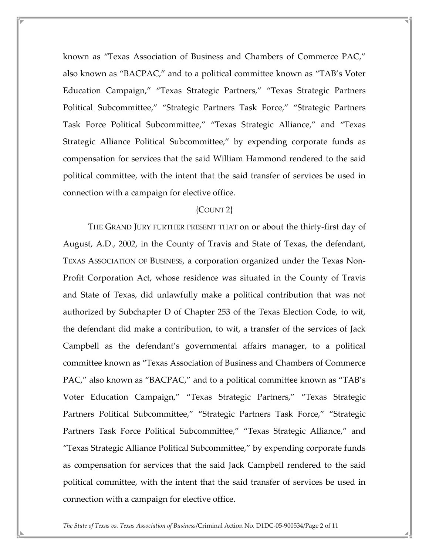known as "Texas Association of Business and Chambers of Commerce PAC," also known as "BACPAC," and to a political committee known as "TAB's Voter Education Campaign," "Texas Strategic Partners," "Texas Strategic Partners Political Subcommittee," "Strategic Partners Task Force," "Strategic Partners Task Force Political Subcommittee," "Texas Strategic Alliance," and "Texas Strategic Alliance Political Subcommittee," by expending corporate funds as compensation for services that the said William Hammond rendered to the said political committee, with the intent that the said transfer of services be used in connection with a campaign for elective office.

#### {COUNT 2}

 THE GRAND JURY FURTHER PRESENT THAT on or about the thirty-first day of August, A.D., 2002, in the County of Travis and State of Texas, the defendant, TEXAS ASSOCIATION OF BUSINESS, a corporation organized under the Texas Non-Profit Corporation Act, whose residence was situated in the County of Travis and State of Texas, did unlawfully make a political contribution that was not authorized by Subchapter D of Chapter 253 of the Texas Election Code, to wit, the defendant did make a contribution, to wit, a transfer of the services of Jack Campbell as the defendant's governmental affairs manager, to a political committee known as "Texas Association of Business and Chambers of Commerce PAC," also known as "BACPAC," and to a political committee known as "TAB's Voter Education Campaign," "Texas Strategic Partners," "Texas Strategic Partners Political Subcommittee," "Strategic Partners Task Force," "Strategic Partners Task Force Political Subcommittee," "Texas Strategic Alliance," and "Texas Strategic Alliance Political Subcommittee," by expending corporate funds as compensation for services that the said Jack Campbell rendered to the said political committee, with the intent that the said transfer of services be used in connection with a campaign for elective office.

The State of Texas vs. Texas Association of Business/Criminal Action No. D1DC-05-900534/Page 2 of 11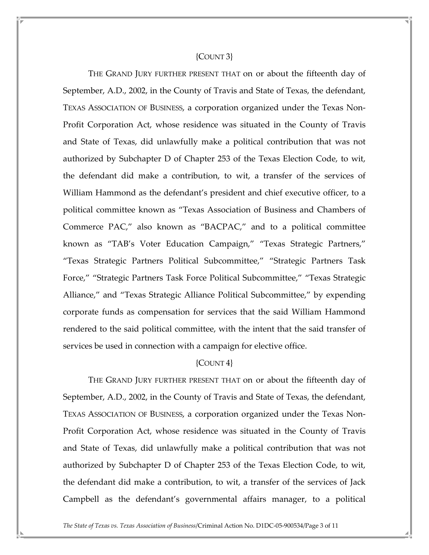#### {COUNT 3}

 THE GRAND JURY FURTHER PRESENT THAT on or about the fifteenth day of September, A.D., 2002, in the County of Travis and State of Texas, the defendant, TEXAS ASSOCIATION OF BUSINESS, a corporation organized under the Texas Non-Profit Corporation Act, whose residence was situated in the County of Travis and State of Texas, did unlawfully make a political contribution that was not authorized by Subchapter D of Chapter 253 of the Texas Election Code, to wit, the defendant did make a contribution, to wit, a transfer of the services of William Hammond as the defendant's president and chief executive officer, to a political committee known as "Texas Association of Business and Chambers of Commerce PAC," also known as "BACPAC," and to a political committee known as "TAB's Voter Education Campaign," "Texas Strategic Partners," "Texas Strategic Partners Political Subcommittee," "Strategic Partners Task Force," "Strategic Partners Task Force Political Subcommittee," "Texas Strategic Alliance," and "Texas Strategic Alliance Political Subcommittee," by expending corporate funds as compensation for services that the said William Hammond rendered to the said political committee, with the intent that the said transfer of services be used in connection with a campaign for elective office.

## ${COUNT 4}$

 THE GRAND JURY FURTHER PRESENT THAT on or about the fifteenth day of September, A.D., 2002, in the County of Travis and State of Texas, the defendant, TEXAS ASSOCIATION OF BUSINESS, a corporation organized under the Texas Non-Profit Corporation Act, whose residence was situated in the County of Travis and State of Texas, did unlawfully make a political contribution that was not authorized by Subchapter D of Chapter 253 of the Texas Election Code, to wit, the defendant did make a contribution, to wit, a transfer of the services of Jack Campbell as the defendant's governmental affairs manager, to a political

The State of Texas vs. Texas Association of Business/Criminal Action No. D1DC-05-900534/Page 3 of 11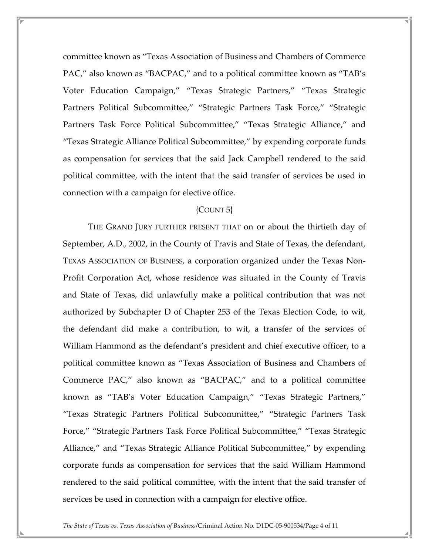committee known as "Texas Association of Business and Chambers of Commerce PAC," also known as "BACPAC," and to a political committee known as "TAB's Voter Education Campaign," "Texas Strategic Partners," "Texas Strategic Partners Political Subcommittee," "Strategic Partners Task Force," "Strategic Partners Task Force Political Subcommittee," "Texas Strategic Alliance," and "Texas Strategic Alliance Political Subcommittee," by expending corporate funds as compensation for services that the said Jack Campbell rendered to the said political committee, with the intent that the said transfer of services be used in connection with a campaign for elective office.

#### {COUNT 5}

 THE GRAND JURY FURTHER PRESENT THAT on or about the thirtieth day of September, A.D., 2002, in the County of Travis and State of Texas, the defendant, TEXAS ASSOCIATION OF BUSINESS, a corporation organized under the Texas Non-Profit Corporation Act, whose residence was situated in the County of Travis and State of Texas, did unlawfully make a political contribution that was not authorized by Subchapter D of Chapter 253 of the Texas Election Code, to wit, the defendant did make a contribution, to wit, a transfer of the services of William Hammond as the defendant's president and chief executive officer, to a political committee known as "Texas Association of Business and Chambers of Commerce PAC," also known as "BACPAC," and to a political committee known as "TAB's Voter Education Campaign," "Texas Strategic Partners," "Texas Strategic Partners Political Subcommittee," "Strategic Partners Task Force," "Strategic Partners Task Force Political Subcommittee," "Texas Strategic Alliance," and "Texas Strategic Alliance Political Subcommittee," by expending corporate funds as compensation for services that the said William Hammond rendered to the said political committee, with the intent that the said transfer of services be used in connection with a campaign for elective office.

The State of Texas vs. Texas Association of Business/Criminal Action No. D1DC-05-900534/Page 4 of 11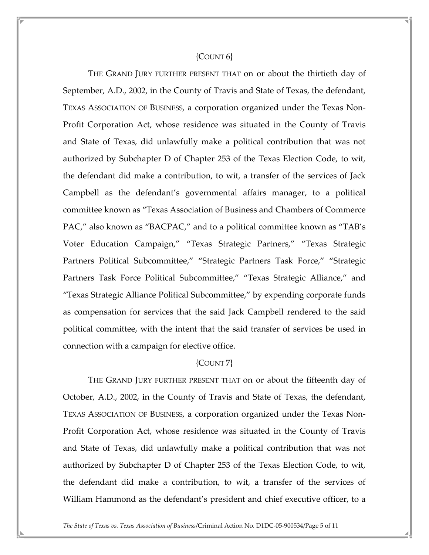#### ${COUNT6}$

 THE GRAND JURY FURTHER PRESENT THAT on or about the thirtieth day of September, A.D., 2002, in the County of Travis and State of Texas, the defendant, TEXAS ASSOCIATION OF BUSINESS, a corporation organized under the Texas Non-Profit Corporation Act, whose residence was situated in the County of Travis and State of Texas, did unlawfully make a political contribution that was not authorized by Subchapter D of Chapter 253 of the Texas Election Code, to wit, the defendant did make a contribution, to wit, a transfer of the services of Jack Campbell as the defendant's governmental affairs manager, to a political committee known as "Texas Association of Business and Chambers of Commerce PAC," also known as "BACPAC," and to a political committee known as "TAB's Voter Education Campaign," "Texas Strategic Partners," "Texas Strategic Partners Political Subcommittee," "Strategic Partners Task Force," "Strategic Partners Task Force Political Subcommittee," "Texas Strategic Alliance," and "Texas Strategic Alliance Political Subcommittee," by expending corporate funds as compensation for services that the said Jack Campbell rendered to the said political committee, with the intent that the said transfer of services be used in connection with a campaign for elective office.

#### {COUNT 7}

 THE GRAND JURY FURTHER PRESENT THAT on or about the fifteenth day of October, A.D., 2002, in the County of Travis and State of Texas, the defendant, TEXAS ASSOCIATION OF BUSINESS, a corporation organized under the Texas Non-Profit Corporation Act, whose residence was situated in the County of Travis and State of Texas, did unlawfully make a political contribution that was not authorized by Subchapter D of Chapter 253 of the Texas Election Code, to wit, the defendant did make a contribution, to wit, a transfer of the services of William Hammond as the defendant's president and chief executive officer, to a

The State of Texas vs. Texas Association of Business/Criminal Action No. D1DC-05-900534/Page 5 of 11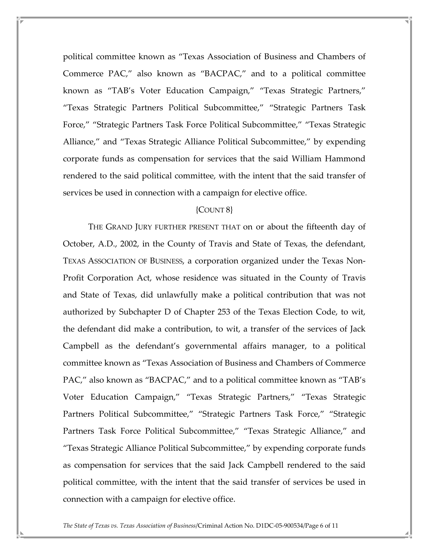political committee known as "Texas Association of Business and Chambers of Commerce PAC," also known as "BACPAC," and to a political committee known as "TAB's Voter Education Campaign," "Texas Strategic Partners," "Texas Strategic Partners Political Subcommittee," "Strategic Partners Task Force," "Strategic Partners Task Force Political Subcommittee," "Texas Strategic Alliance," and "Texas Strategic Alliance Political Subcommittee," by expending corporate funds as compensation for services that the said William Hammond rendered to the said political committee, with the intent that the said transfer of services be used in connection with a campaign for elective office.

### {COUNT 8}

 THE GRAND JURY FURTHER PRESENT THAT on or about the fifteenth day of October, A.D., 2002, in the County of Travis and State of Texas, the defendant, TEXAS ASSOCIATION OF BUSINESS, a corporation organized under the Texas Non-Profit Corporation Act, whose residence was situated in the County of Travis and State of Texas, did unlawfully make a political contribution that was not authorized by Subchapter D of Chapter 253 of the Texas Election Code, to wit, the defendant did make a contribution, to wit, a transfer of the services of Jack Campbell as the defendant's governmental affairs manager, to a political committee known as "Texas Association of Business and Chambers of Commerce PAC," also known as "BACPAC," and to a political committee known as "TAB's Voter Education Campaign," "Texas Strategic Partners," "Texas Strategic Partners Political Subcommittee," "Strategic Partners Task Force," "Strategic Partners Task Force Political Subcommittee," "Texas Strategic Alliance," and "Texas Strategic Alliance Political Subcommittee," by expending corporate funds as compensation for services that the said Jack Campbell rendered to the said political committee, with the intent that the said transfer of services be used in connection with a campaign for elective office.

The State of Texas vs. Texas Association of Business/Criminal Action No. D1DC-05-900534/Page 6 of 11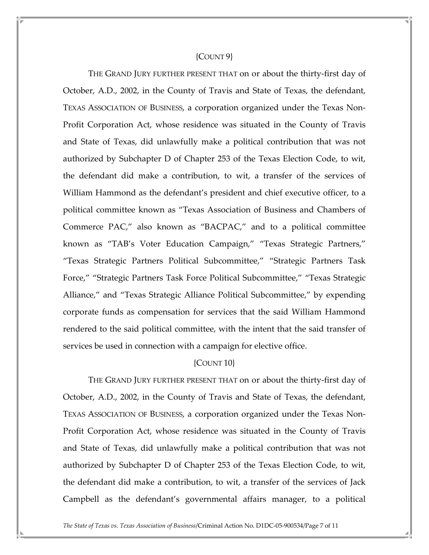#### {COUNT 9}

 THE GRAND JURY FURTHER PRESENT THAT on or about the thirty-first day of October, A.D., 2002, in the County of Travis and State of Texas, the defendant, TEXAS ASSOCIATION OF BUSINESS, a corporation organized under the Texas Non-Profit Corporation Act, whose residence was situated in the County of Travis and State of Texas, did unlawfully make a political contribution that was not authorized by Subchapter D of Chapter 253 of the Texas Election Code, to wit, the defendant did make a contribution, to wit, a transfer of the services of William Hammond as the defendant's president and chief executive officer, to a political committee known as "Texas Association of Business and Chambers of Commerce PAC," also known as "BACPAC," and to a political committee known as "TAB's Voter Education Campaign," "Texas Strategic Partners," "Texas Strategic Partners Political Subcommittee," "Strategic Partners Task Force," "Strategic Partners Task Force Political Subcommittee," "Texas Strategic Alliance," and "Texas Strategic Alliance Political Subcommittee," by expending corporate funds as compensation for services that the said William Hammond rendered to the said political committee, with the intent that the said transfer of services be used in connection with a campaign for elective office.

## {COUNT 10}

 THE GRAND JURY FURTHER PRESENT THAT on or about the thirty-first day of October, A.D., 2002, in the County of Travis and State of Texas, the defendant, TEXAS ASSOCIATION OF BUSINESS, a corporation organized under the Texas Non-Profit Corporation Act, whose residence was situated in the County of Travis and State of Texas, did unlawfully make a political contribution that was not authorized by Subchapter D of Chapter 253 of the Texas Election Code, to wit, the defendant did make a contribution, to wit, a transfer of the services of Jack Campbell as the defendant's governmental affairs manager, to a political

The State of Texas vs. Texas Association of Business/Criminal Action No. D1DC-05-900534/Page 7 of 11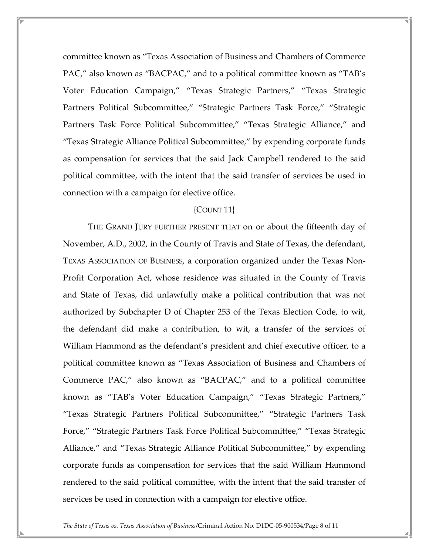committee known as "Texas Association of Business and Chambers of Commerce PAC," also known as "BACPAC," and to a political committee known as "TAB's Voter Education Campaign," "Texas Strategic Partners," "Texas Strategic Partners Political Subcommittee," "Strategic Partners Task Force," "Strategic Partners Task Force Political Subcommittee," "Texas Strategic Alliance," and "Texas Strategic Alliance Political Subcommittee," by expending corporate funds as compensation for services that the said Jack Campbell rendered to the said political committee, with the intent that the said transfer of services be used in connection with a campaign for elective office.

#### {COUNT 11}

 THE GRAND JURY FURTHER PRESENT THAT on or about the fifteenth day of November, A.D., 2002, in the County of Travis and State of Texas, the defendant, TEXAS ASSOCIATION OF BUSINESS, a corporation organized under the Texas Non-Profit Corporation Act, whose residence was situated in the County of Travis and State of Texas, did unlawfully make a political contribution that was not authorized by Subchapter D of Chapter 253 of the Texas Election Code, to wit, the defendant did make a contribution, to wit, a transfer of the services of William Hammond as the defendant's president and chief executive officer, to a political committee known as "Texas Association of Business and Chambers of Commerce PAC," also known as "BACPAC," and to a political committee known as "TAB's Voter Education Campaign," "Texas Strategic Partners," "Texas Strategic Partners Political Subcommittee," "Strategic Partners Task Force," "Strategic Partners Task Force Political Subcommittee," "Texas Strategic Alliance," and "Texas Strategic Alliance Political Subcommittee," by expending corporate funds as compensation for services that the said William Hammond rendered to the said political committee, with the intent that the said transfer of services be used in connection with a campaign for elective office.

The State of Texas vs. Texas Association of Business/Criminal Action No. D1DC-05-900534/Page 8 of 11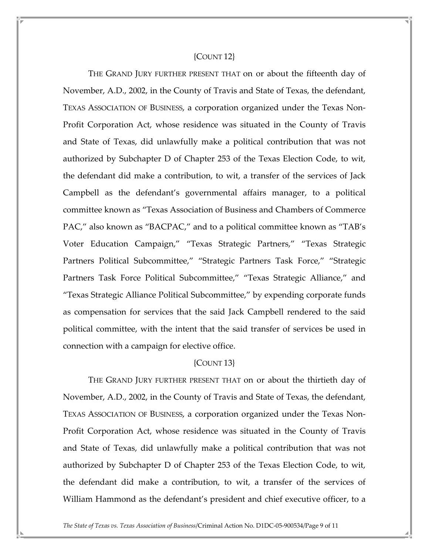#### {COUNT 12}

 THE GRAND JURY FURTHER PRESENT THAT on or about the fifteenth day of November, A.D., 2002, in the County of Travis and State of Texas, the defendant, TEXAS ASSOCIATION OF BUSINESS, a corporation organized under the Texas Non-Profit Corporation Act, whose residence was situated in the County of Travis and State of Texas, did unlawfully make a political contribution that was not authorized by Subchapter D of Chapter 253 of the Texas Election Code, to wit, the defendant did make a contribution, to wit, a transfer of the services of Jack Campbell as the defendant's governmental affairs manager, to a political committee known as "Texas Association of Business and Chambers of Commerce PAC," also known as "BACPAC," and to a political committee known as "TAB's Voter Education Campaign," "Texas Strategic Partners," "Texas Strategic Partners Political Subcommittee," "Strategic Partners Task Force," "Strategic Partners Task Force Political Subcommittee," "Texas Strategic Alliance," and "Texas Strategic Alliance Political Subcommittee," by expending corporate funds as compensation for services that the said Jack Campbell rendered to the said political committee, with the intent that the said transfer of services be used in connection with a campaign for elective office.

#### {COUNT 13}

 THE GRAND JURY FURTHER PRESENT THAT on or about the thirtieth day of November, A.D., 2002, in the County of Travis and State of Texas, the defendant, TEXAS ASSOCIATION OF BUSINESS, a corporation organized under the Texas Non-Profit Corporation Act, whose residence was situated in the County of Travis and State of Texas, did unlawfully make a political contribution that was not authorized by Subchapter D of Chapter 253 of the Texas Election Code, to wit, the defendant did make a contribution, to wit, a transfer of the services of William Hammond as the defendant's president and chief executive officer, to a

The State of Texas vs. Texas Association of Business/Criminal Action No. D1DC-05-900534/Page 9 of 11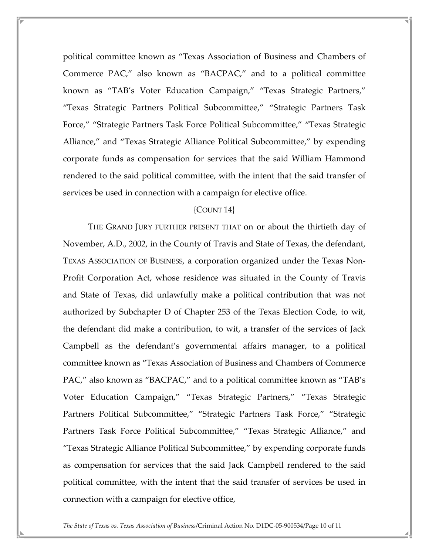political committee known as "Texas Association of Business and Chambers of Commerce PAC," also known as "BACPAC," and to a political committee known as "TAB's Voter Education Campaign," "Texas Strategic Partners," "Texas Strategic Partners Political Subcommittee," "Strategic Partners Task Force," "Strategic Partners Task Force Political Subcommittee," "Texas Strategic Alliance," and "Texas Strategic Alliance Political Subcommittee," by expending corporate funds as compensation for services that the said William Hammond rendered to the said political committee, with the intent that the said transfer of services be used in connection with a campaign for elective office.

## {COUNT 14}

 THE GRAND JURY FURTHER PRESENT THAT on or about the thirtieth day of November, A.D., 2002, in the County of Travis and State of Texas, the defendant, TEXAS ASSOCIATION OF BUSINESS, a corporation organized under the Texas Non-Profit Corporation Act, whose residence was situated in the County of Travis and State of Texas, did unlawfully make a political contribution that was not authorized by Subchapter D of Chapter 253 of the Texas Election Code, to wit, the defendant did make a contribution, to wit, a transfer of the services of Jack Campbell as the defendant's governmental affairs manager, to a political committee known as "Texas Association of Business and Chambers of Commerce PAC," also known as "BACPAC," and to a political committee known as "TAB's Voter Education Campaign," "Texas Strategic Partners," "Texas Strategic Partners Political Subcommittee," "Strategic Partners Task Force," "Strategic Partners Task Force Political Subcommittee," "Texas Strategic Alliance," and "Texas Strategic Alliance Political Subcommittee," by expending corporate funds as compensation for services that the said Jack Campbell rendered to the said political committee, with the intent that the said transfer of services be used in connection with a campaign for elective office,

The State of Texas vs. Texas Association of Business/Criminal Action No. D1DC-05-900534/Page 10 of 11